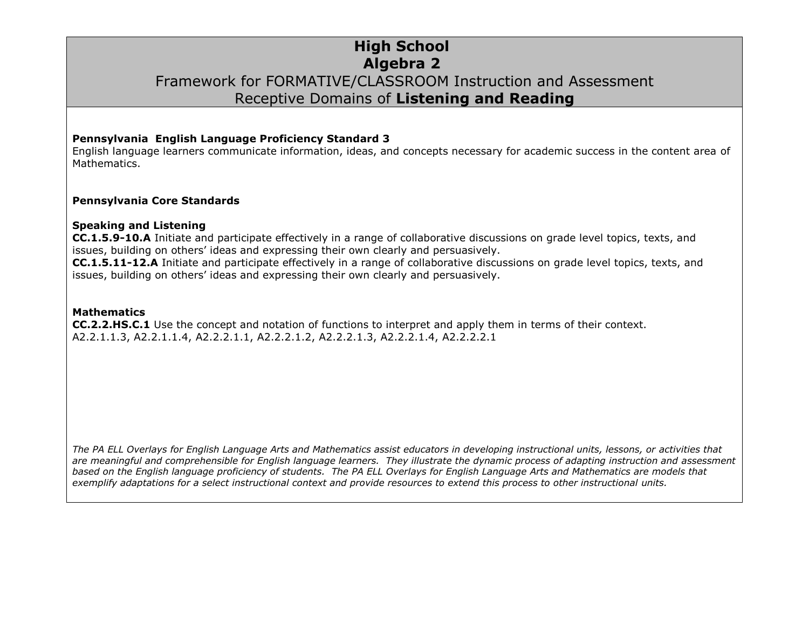## **High School Algebra 2** Framework for FORMATIVE/CLASSROOM Instruction and Assessment Receptive Domains of **Listening and Reading**

#### **Pennsylvania English Language Proficiency Standard 3**

English language learners communicate information, ideas, and concepts necessary for academic success in the content area of Mathematics.

#### **Pennsylvania Core Standards**

#### **Speaking and Listening**

**CC.1.5.9-10.A** Initiate and participate effectively in a range of collaborative discussions on grade level topics, texts, and issues, building on others' ideas and expressing their own clearly and persuasively. **CC.1.5.11-12.A** Initiate and participate effectively in a range of collaborative discussions on grade level topics, texts, and issues, building on others' ideas and expressing their own clearly and persuasively.

#### **Mathematics**

**CC.2.2.HS.C.1** Use the concept and notation of functions to interpret and apply them in terms of their context. A2.2.1.1.3, A2.2.1.1.4, A2.2.2.1.1, A2.2.2.1.2, A2.2.2.1.3, A2.2.2.1.4, A2.2.2.2.1

*The PA ELL Overlays for English Language Arts and Mathematics assist educators in developing instructional units, lessons, or activities that are meaningful and comprehensible for English language learners. They illustrate the dynamic process of adapting instruction and assessment based on the English language proficiency of students. The PA ELL Overlays for English Language Arts and Mathematics are models that exemplify adaptations for a select instructional context and provide resources to extend this process to other instructional units.*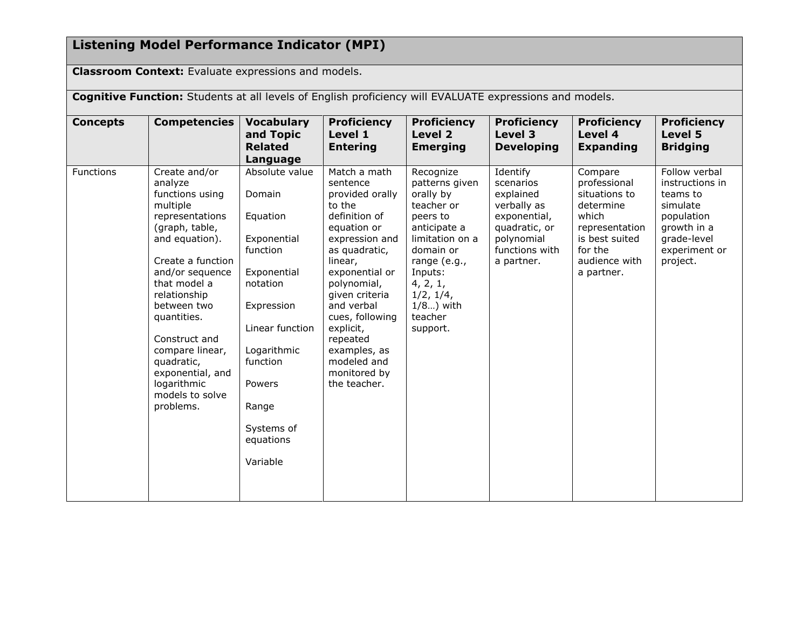## **Listening Model Performance Indicator (MPI)**

**Classroom Context:** Evaluate expressions and models.

**Cognitive Function:** Students at all levels of English proficiency will EVALUATE expressions and models. **Concepts Competencies Vocabulary and Topic Related Language Proficiency Level 1 Entering Proficiency Level 2 Emerging Proficiency Level 3 Developing Proficiency Level 4 Expanding Proficiency Level 5 Bridging** Functions | Create and/or analyze functions using multiple representations (graph, table, and equation). Create a function and/or sequence that model a relationship between two quantities. Construct and compare linear, quadratic, exponential, and logarithmic models to solve problems. Absolute value Domain Equation Exponential function Exponential notation Expression Linear function Logarithmic function Powers Range Systems of equations Variable Match a math sentence provided orally to the definition of equation or expression and as quadratic, linear, exponential or polynomial, given criteria and verbal cues, following explicit, repeated examples, as modeled and monitored by the teacher. Recognize patterns given orally by teacher or peers to anticipate a limitation on a domain or range (e.g., Inputs: 4, 2, 1, 1/2, 1/4, 1/8…) with teacher support. Identify scenarios explained verbally as exponential, quadratic, or polynomial functions with a partner. Compare professional situations to determine which representation is best suited for the audience with a partner. Follow verbal instructions in teams to simulate population growth in a grade-level experiment or project.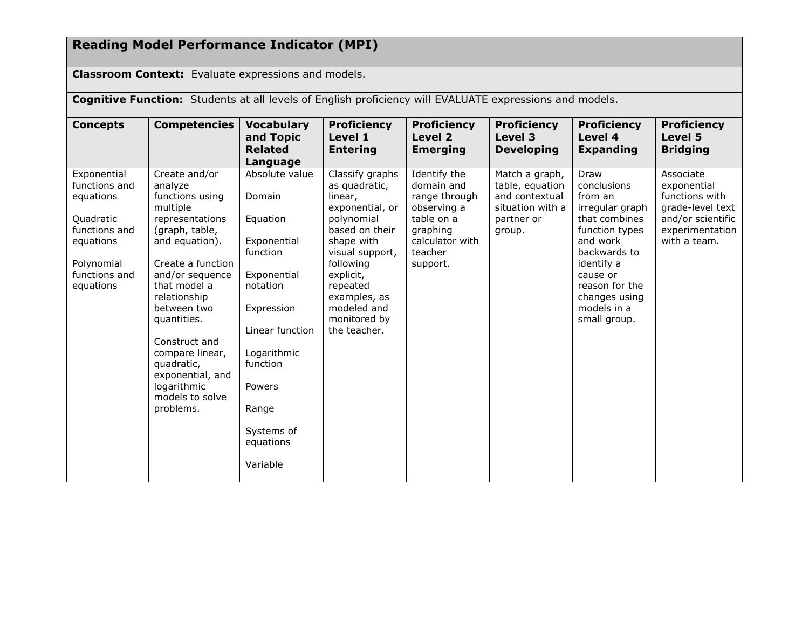# **Reading Model Performance Indicator (MPI)**

**Classroom Context:** Evaluate expressions and models.

**Cognitive Function:** Students at all levels of English proficiency will EVALUATE expressions and models.

| <b>Concepts</b>                                                                                                                  | <b>Competencies</b>                                                                                                                                                                                                                                                                                                                       | <b>Vocabulary</b><br>and Topic<br><b>Related</b><br>Language                                                                                                                                                     | <b>Proficiency</b><br>Level 1<br><b>Entering</b>                                                                                                                                                                                     | <b>Proficiency</b><br>Level 2<br><b>Emerging</b>                                                                               | <b>Proficiency</b><br>Level 3<br><b>Developing</b>                                              | <b>Proficiency</b><br>Level 4<br><b>Expanding</b>                                                                                                                                                            | <b>Proficiency</b><br>Level 5<br><b>Bridging</b>                                                                       |
|----------------------------------------------------------------------------------------------------------------------------------|-------------------------------------------------------------------------------------------------------------------------------------------------------------------------------------------------------------------------------------------------------------------------------------------------------------------------------------------|------------------------------------------------------------------------------------------------------------------------------------------------------------------------------------------------------------------|--------------------------------------------------------------------------------------------------------------------------------------------------------------------------------------------------------------------------------------|--------------------------------------------------------------------------------------------------------------------------------|-------------------------------------------------------------------------------------------------|--------------------------------------------------------------------------------------------------------------------------------------------------------------------------------------------------------------|------------------------------------------------------------------------------------------------------------------------|
| Exponential<br>functions and<br>equations<br>Quadratic<br>functions and<br>equations<br>Polynomial<br>functions and<br>equations | Create and/or<br>analyze<br>functions using<br>multiple<br>representations<br>(graph, table,<br>and equation).<br>Create a function<br>and/or sequence<br>that model a<br>relationship<br>between two<br>quantities.<br>Construct and<br>compare linear,<br>quadratic,<br>exponential, and<br>logarithmic<br>models to solve<br>problems. | Absolute value<br>Domain<br>Equation<br>Exponential<br>function<br>Exponential<br>notation<br>Expression<br>Linear function<br>Logarithmic<br>function<br>Powers<br>Range<br>Systems of<br>equations<br>Variable | Classify graphs<br>as quadratic,<br>linear,<br>exponential, or<br>polynomial<br>based on their<br>shape with<br>visual support,<br>following<br>explicit,<br>repeated<br>examples, as<br>modeled and<br>monitored by<br>the teacher. | Identify the<br>domain and<br>range through<br>observing a<br>table on a<br>graphing<br>calculator with<br>teacher<br>support. | Match a graph,<br>table, equation<br>and contextual<br>situation with a<br>partner or<br>group. | Draw<br>conclusions<br>from an<br>irregular graph<br>that combines<br>function types<br>and work<br>backwards to<br>identify a<br>cause or<br>reason for the<br>changes using<br>models in a<br>small group. | Associate<br>exponential<br>functions with<br>grade-level text<br>and/or scientific<br>experimentation<br>with a team. |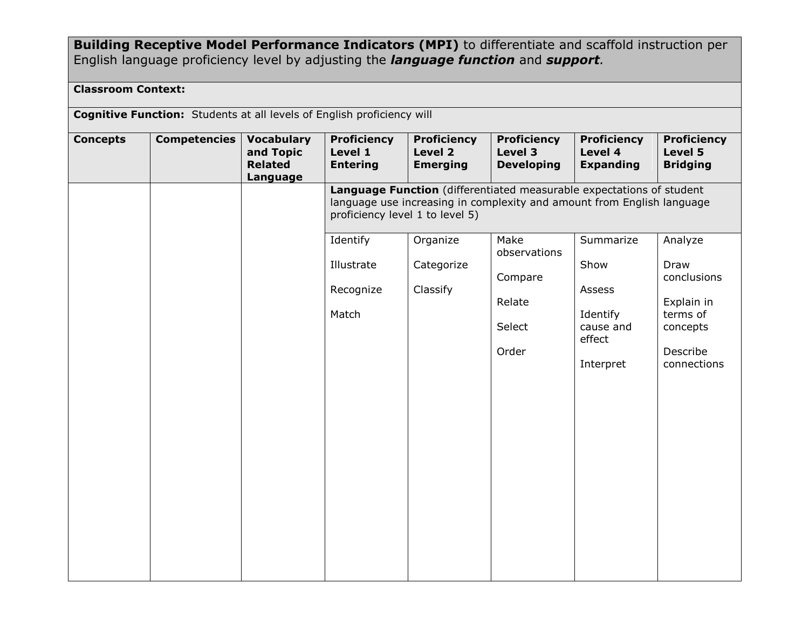## **Building Receptive Model Performance Indicators (MPI)** to differentiate and scaffold instruction per English language proficiency level by adjusting the *language function* and *support.*

### **Classroom Context:**

**Cognitive Function:** Students at all levels of English proficiency will

| <b>Concepts</b> | <b>Competencies</b> | <b>Vocabulary</b><br>and Topic<br><b>Related</b><br>Language | <b>Proficiency</b><br>Level 1<br><b>Entering</b>                                                                                                                                  | <b>Proficiency</b><br>Level 2<br><b>Emerging</b> | <b>Proficiency</b><br>Level 3<br><b>Developing</b> | <b>Proficiency</b><br>Level 4<br><b>Expanding</b> | <b>Proficiency</b><br>Level 5<br><b>Bridging</b> |  |  |
|-----------------|---------------------|--------------------------------------------------------------|-----------------------------------------------------------------------------------------------------------------------------------------------------------------------------------|--------------------------------------------------|----------------------------------------------------|---------------------------------------------------|--------------------------------------------------|--|--|
|                 |                     |                                                              | Language Function (differentiated measurable expectations of student<br>language use increasing in complexity and amount from English language<br>proficiency level 1 to level 5) |                                                  |                                                    |                                                   |                                                  |  |  |
|                 |                     |                                                              | Identify                                                                                                                                                                          | Organize                                         | Make<br>observations                               | Summarize                                         | Analyze                                          |  |  |
|                 |                     |                                                              | Illustrate                                                                                                                                                                        | Categorize                                       | Compare                                            | Show                                              | Draw<br>conclusions                              |  |  |
|                 |                     |                                                              | Recognize                                                                                                                                                                         | Classify                                         | Relate                                             | Assess                                            |                                                  |  |  |
|                 |                     |                                                              | Match                                                                                                                                                                             |                                                  |                                                    | Identify                                          | Explain in<br>terms of                           |  |  |
|                 |                     |                                                              |                                                                                                                                                                                   |                                                  | Select                                             | cause and<br>effect                               | concepts                                         |  |  |
|                 |                     |                                                              |                                                                                                                                                                                   |                                                  | Order                                              | Interpret                                         | Describe<br>connections                          |  |  |
|                 |                     |                                                              |                                                                                                                                                                                   |                                                  |                                                    |                                                   |                                                  |  |  |
|                 |                     |                                                              |                                                                                                                                                                                   |                                                  |                                                    |                                                   |                                                  |  |  |
|                 |                     |                                                              |                                                                                                                                                                                   |                                                  |                                                    |                                                   |                                                  |  |  |
|                 |                     |                                                              |                                                                                                                                                                                   |                                                  |                                                    |                                                   |                                                  |  |  |
|                 |                     |                                                              |                                                                                                                                                                                   |                                                  |                                                    |                                                   |                                                  |  |  |
|                 |                     |                                                              |                                                                                                                                                                                   |                                                  |                                                    |                                                   |                                                  |  |  |
|                 |                     |                                                              |                                                                                                                                                                                   |                                                  |                                                    |                                                   |                                                  |  |  |
|                 |                     |                                                              |                                                                                                                                                                                   |                                                  |                                                    |                                                   |                                                  |  |  |
|                 |                     |                                                              |                                                                                                                                                                                   |                                                  |                                                    |                                                   |                                                  |  |  |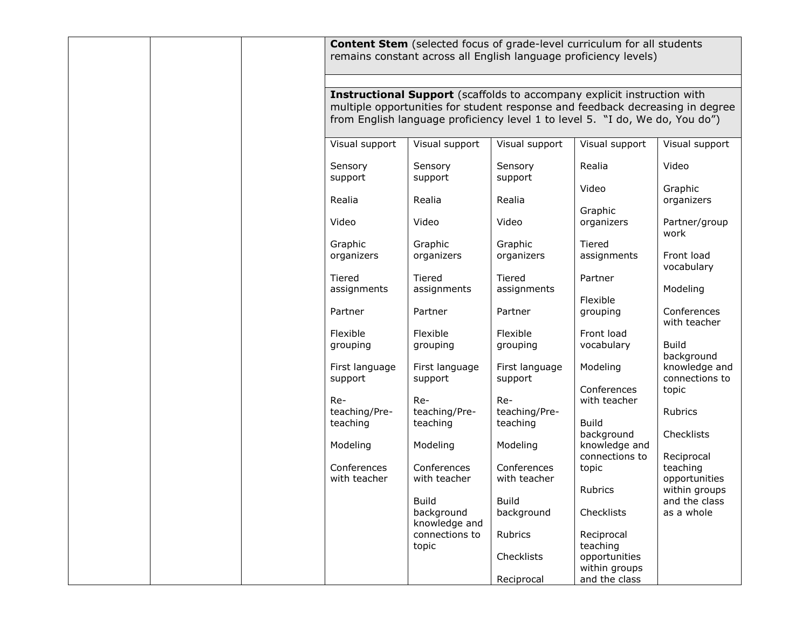|  |                                                                                                                                                                                                                                          |                                  | <b>Content Stem</b> (selected focus of grade-level curriculum for all students<br>remains constant across all English language proficiency levels) |                                                 |                                  |  |  |  |
|--|------------------------------------------------------------------------------------------------------------------------------------------------------------------------------------------------------------------------------------------|----------------------------------|----------------------------------------------------------------------------------------------------------------------------------------------------|-------------------------------------------------|----------------------------------|--|--|--|
|  | Instructional Support (scaffolds to accompany explicit instruction with<br>multiple opportunities for student response and feedback decreasing in degree<br>from English language proficiency level 1 to level 5. "I do, We do, You do") |                                  |                                                                                                                                                    |                                                 |                                  |  |  |  |
|  | Visual support                                                                                                                                                                                                                           | Visual support                   | Visual support                                                                                                                                     | Visual support                                  | Visual support                   |  |  |  |
|  | Sensory<br>support                                                                                                                                                                                                                       | Sensory<br>support               | Sensory<br>support                                                                                                                                 | Realia<br>Video                                 | Video<br>Graphic                 |  |  |  |
|  | Realia                                                                                                                                                                                                                                   | Realia                           | Realia                                                                                                                                             | Graphic                                         | organizers                       |  |  |  |
|  | Video                                                                                                                                                                                                                                    | Video                            | Video                                                                                                                                              | organizers                                      | Partner/group                    |  |  |  |
|  | Graphic<br>organizers                                                                                                                                                                                                                    | Graphic<br>organizers            | Graphic<br>organizers                                                                                                                              | Tiered<br>assignments                           | work<br>Front load<br>vocabulary |  |  |  |
|  | Tiered<br>assignments                                                                                                                                                                                                                    | Tiered<br>assignments            | Tiered<br>assignments                                                                                                                              | Partner                                         | Modeling                         |  |  |  |
|  | Partner                                                                                                                                                                                                                                  | Partner                          | Partner                                                                                                                                            | Flexible<br>grouping                            | Conferences<br>with teacher      |  |  |  |
|  | Flexible<br>grouping                                                                                                                                                                                                                     | Flexible<br>grouping             | Flexible<br>grouping                                                                                                                               | Front load<br>vocabulary                        | <b>Build</b><br>background       |  |  |  |
|  | First language<br>support                                                                                                                                                                                                                | First language<br>support        | First language<br>support                                                                                                                          | Modeling                                        | knowledge and<br>connections to  |  |  |  |
|  | Re-<br>teaching/Pre-<br>teaching                                                                                                                                                                                                         | Re-<br>teaching/Pre-<br>teaching | Re-<br>teaching/Pre-<br>teaching                                                                                                                   | Conferences<br>with teacher<br><b>Build</b>     | topic<br>Rubrics                 |  |  |  |
|  | Modeling                                                                                                                                                                                                                                 | Modeling                         | Modeling                                                                                                                                           | background<br>knowledge and<br>connections to   | Checklists<br>Reciprocal         |  |  |  |
|  | Conferences<br>with teacher                                                                                                                                                                                                              | Conferences<br>with teacher      | Conferences<br>with teacher                                                                                                                        | topic                                           | teaching<br>opportunities        |  |  |  |
|  |                                                                                                                                                                                                                                          | <b>Build</b>                     | <b>Build</b>                                                                                                                                       | Rubrics                                         | within groups<br>and the class   |  |  |  |
|  |                                                                                                                                                                                                                                          | background<br>knowledge and      | background                                                                                                                                         | Checklists                                      | as a whole                       |  |  |  |
|  |                                                                                                                                                                                                                                          | connections to<br>topic          | Rubrics                                                                                                                                            | Reciprocal<br>teaching                          |                                  |  |  |  |
|  |                                                                                                                                                                                                                                          |                                  | Checklists<br>Reciprocal                                                                                                                           | opportunities<br>within groups<br>and the class |                                  |  |  |  |